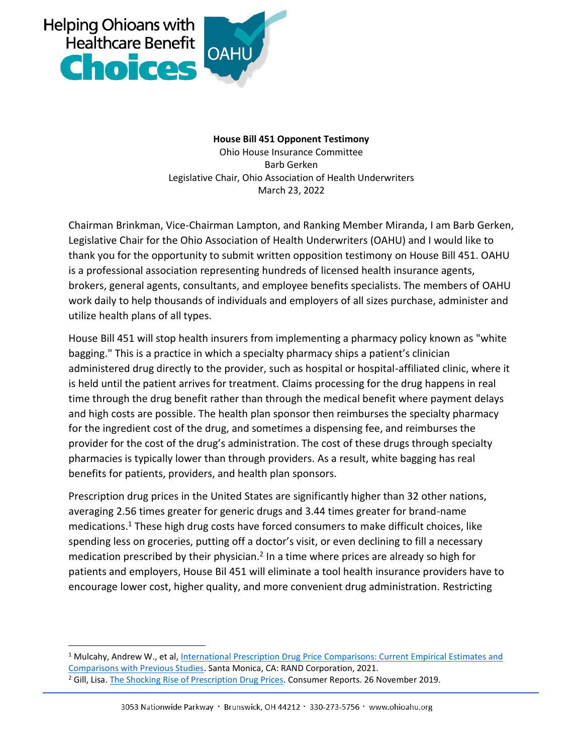

hoi

**House Bill 451 Opponent Testimony** Ohio House Insurance Committee Barb Gerken Legislative Chair, Ohio Association of Health Underwriters March 23, 2022

Chairman Brinkman, Vice-Chairman Lampton, and Ranking Member Miranda, I am Barb Gerken, Legislative Chair for the Ohio Association of Health Underwriters (OAHU) and I would like to thank you for the opportunity to submit written opposition testimony on House Bill 451. OAHU is a professional association representing hundreds of licensed health insurance agents, brokers, general agents, consultants, and employee benefits specialists. The members of OAHU work daily to help thousands of individuals and employers of all sizes purchase, administer and utilize health plans of all types.

House Bill 451 will stop health insurers from implementing a pharmacy policy known as "white bagging." This is a practice in which a specialty pharmacy ships a patient's clinician administered drug directly to the provider, such as hospital or hospital-affiliated clinic, where it is held until the patient arrives for treatment. Claims processing for the drug happens in real time through the drug benefit rather than through the medical benefit where payment delays and high costs are possible. The health plan sponsor then reimburses the specialty pharmacy for the ingredient cost of the drug, and sometimes a dispensing fee, and reimburses the provider for the cost of the drug's administration. The cost of these drugs through specialty pharmacies is typically lower than through providers. As a result, white bagging has real benefits for patients, providers, and health plan sponsors.

Prescription drug prices in the United States are significantly higher than 32 other nations, averaging 2.56 times greater for generic drugs and 3.44 times greater for brand-name medications.<sup>1</sup> These high drug costs have forced consumers to make difficult choices, like spending less on groceries, putting off a doctor's visit, or even declining to fill a necessary medication prescribed by their physician.<sup>2</sup> In a time where prices are already so high for patients and employers, House Bil 451 will eliminate a tool health insurance providers have to encourage lower cost, higher quality, and more convenient drug administration. Restricting

 $\overline{a}$ 

<sup>1</sup> Mulcahy, Andrew W., et al, [International Prescription Drug Price Comparisons: Current Empirical Estimates and](https://www.rand.org/pubs/research_reports/RR2956.html)  [Comparisons with Previous Studies.](https://www.rand.org/pubs/research_reports/RR2956.html) Santa Monica, CA: RAND Corporation, 2021.

<sup>&</sup>lt;sup>2</sup> Gill, Lisa[. The Shocking Rise of Prescription Drug Prices.](https://www.consumerreports.org/drug-prices/the-shocking-rise-of-prescription-drug-prices/) Consumer Reports. 26 November 2019.